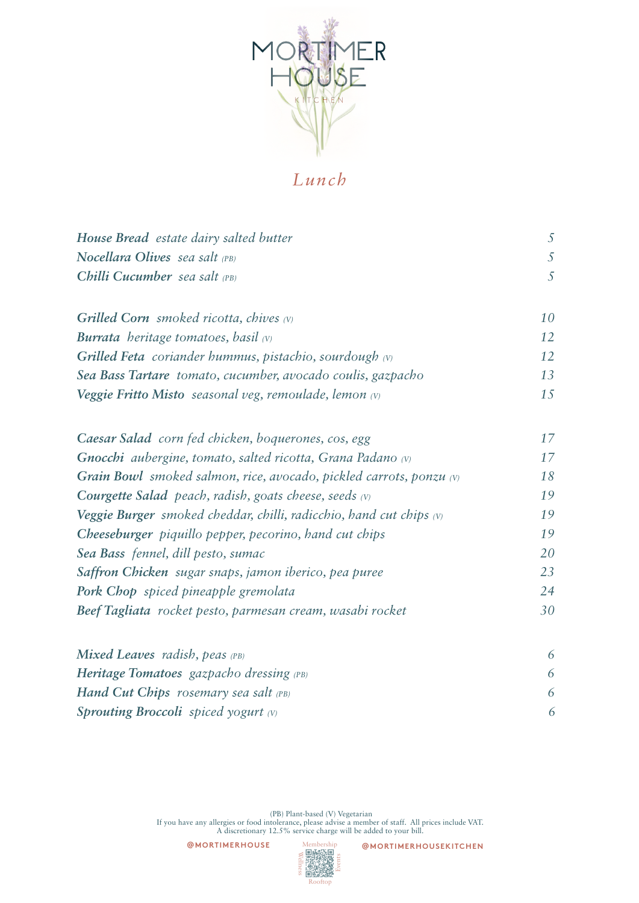

## *Lunch*

| House Bread estate dairy salted butter                                       | 5  |
|------------------------------------------------------------------------------|----|
| Nocellara Olives sea salt (PB)                                               | 5  |
| Chilli Cucumber sea salt $(PB)$                                              | 5  |
|                                                                              |    |
| <b>Grilled Corn</b> smoked ricotta, chives $(v)$                             | 10 |
| <b>Burrata</b> heritage tomatoes, basil $(v)$                                | 12 |
| <b>Grilled Feta</b> coriander hummus, pistachio, sourdough $(v)$             | 12 |
| Sea Bass Tartare tomato, cucumber, avocado coulis, gazpacho                  | 13 |
| <b>Veggie Fritto Misto</b> seasonal veg, remoulade, lemon (v)                | 15 |
|                                                                              |    |
| Caesar Salad corn fed chicken, boquerones, cos, egg                          | 17 |
| <b>Gnocchi</b> aubergine, tomato, salted ricotta, Grana Padano (v)           | 17 |
| <b>Grain Bowl</b> smoked salmon, rice, avocado, pickled carrots, ponzu $(v)$ | 18 |
| <b>Courgette Salad</b> peach, radish, goats cheese, seeds $(v)$              | 19 |
| <b>Veggie Burger</b> smoked cheddar, chilli, radicchio, hand cut chips $(v)$ | 19 |
| <b>Cheeseburger</b> piquillo pepper, pecorino, hand cut chips                | 19 |
| Sea Bass fennel, dill pesto, sumac                                           | 20 |
| Saffron Chicken sugar snaps, jamon iberico, pea puree                        | 23 |
| Pork Chop spiced pineapple gremolata                                         | 24 |
| Beef Tagliata rocket pesto, parmesan cream, wasabi rocket                    | 30 |
|                                                                              |    |

| <b>Mixed Leaves</b> radish, peas $(PB)$           |  |  |
|---------------------------------------------------|--|--|
| <b>Heritage Tomatoes</b> gazpacho dressing $(PB)$ |  |  |
| Hand Cut Chips rosemary sea salt (PB)             |  |  |
| <b>Sprouting Broccoli</b> spiced yogurt $(v)$     |  |  |

 (PB) Plant-based (V) Vegetarian If you have any allergies or food intolerance, please advise a member of staff. All prices include VAT. A discretionary 12.5% service charge will be added to your bill.

**@MORTIMERHOUSE**